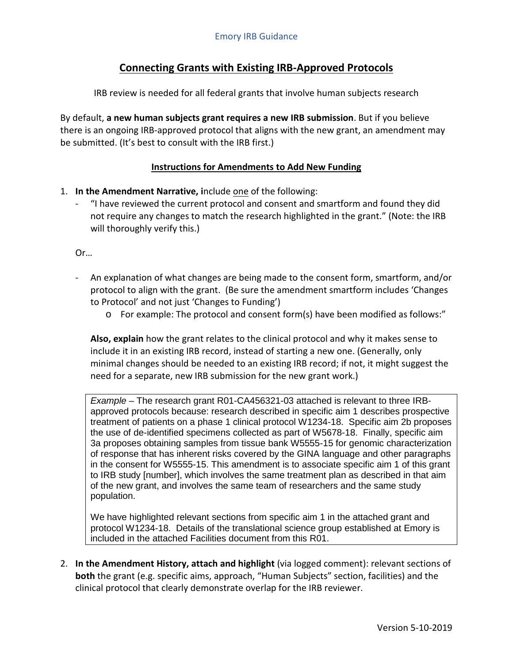## **Connecting Grants with Existing IRB-Approved Protocols**

IRB review is needed for all federal grants that involve human subjects research

By default, **a new human subjects grant requires a new IRB submission**. But if you believe there is an ongoing IRB-approved protocol that aligns with the new grant, an amendment may be submitted. (It's best to consult with the IRB first.)

## **Instructions for Amendments to Add New Funding**

- 1. **In the Amendment Narrative, i**nclude one of the following:
	- "I have reviewed the current protocol and consent and smartform and found they did not require any changes to match the research highlighted in the grant." (Note: the IRB will thoroughly verify this.)

Or…

- An explanation of what changes are being made to the consent form, smartform, and/or protocol to align with the grant. (Be sure the amendment smartform includes 'Changes to Protocol' and not just 'Changes to Funding')
	- o For example: The protocol and consent form(s) have been modified as follows:"

**Also, explain** how the grant relates to the clinical protocol and why it makes sense to include it in an existing IRB record, instead of starting a new one. (Generally, only minimal changes should be needed to an existing IRB record; if not, it might suggest the need for a separate, new IRB submission for the new grant work.)

*Example* – The research grant R01-CA456321-03 attached is relevant to three IRBapproved protocols because: research described in specific aim 1 describes prospective treatment of patients on a phase 1 clinical protocol W1234-18. Specific aim 2b proposes the use of de-identified specimens collected as part of W5678-18. Finally, specific aim 3a proposes obtaining samples from tissue bank W5555-15 for genomic characterization of response that has inherent risks covered by the GINA language and other paragraphs in the consent for W5555-15. This amendment is to associate specific aim 1 of this grant to IRB study [number], which involves the same treatment plan as described in that aim of the new grant, and involves the same team of researchers and the same study population.

We have highlighted relevant sections from specific aim 1 in the attached grant and protocol W1234-18. Details of the translational science group established at Emory is included in the attached Facilities document from this R01.

2. **In the Amendment History, attach and highlight** (via logged comment): relevant sections of **both** the grant (e.g. specific aims, approach, "Human Subjects" section, facilities) and the clinical protocol that clearly demonstrate overlap for the IRB reviewer.